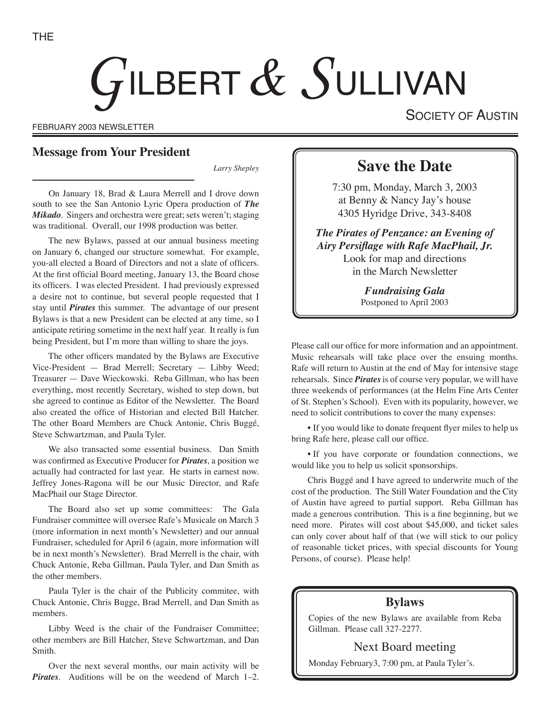# GILBERT  $\&$  SULLIVAN

FEBRUARY 2003 NEWSLETTER

SOCIETY OF AUSTIN

## **Message from Your President**

*Larry Shepley*

On January 18, Brad & Laura Merrell and I drove down south to see the San Antonio Lyric Opera production of *The Mikado*. Singers and orchestra were great; sets weren't; staging was traditional. Overall, our 1998 production was better.

The new Bylaws, passed at our annual business meeting on January 6, changed our structure somewhat. For example, you-all elected a Board of Directors and not a slate of officers. At the first official Board meeting, January 13, the Board chose its officers. I was elected President. I had previously expressed a desire not to continue, but several people requested that I stay until *Pirates* this summer. The advantage of our present Bylaws is that a new President can be elected at any time, so I anticipate retiring sometime in the next half year. It really is fun being President, but I'm more than willing to share the joys.

The other officers mandated by the Bylaws are Executive Vice-President — Brad Merrell; Secretary — Libby Weed; Treasurer — Dave Wieckowski. Reba Gillman, who has been everything, most recently Secretary, wished to step down, but she agreed to continue as Editor of the Newsletter. The Board also created the office of Historian and elected Bill Hatcher. The other Board Members are Chuck Antonie, Chris Buggé, Steve Schwartzman, and Paula Tyler.

We also transacted some essential business. Dan Smith was confirmed as Executive Producer for *Pirates*, a position we actually had contracted for last year. He starts in earnest now. Jeffrey Jones-Ragona will be our Music Director, and Rafe MacPhail our Stage Director.

The Board also set up some committees: The Gala Fundraiser committee will oversee Rafe's Musicale on March 3 (more information in next month's Newsletter) and our annual Fundraiser, scheduled for April 6 (again, more information will be in next month's Newsletter). Brad Merrell is the chair, with Chuck Antonie, Reba Gillman, Paula Tyler, and Dan Smith as the other members.

Paula Tyler is the chair of the Publicity commitee, with Chuck Antonie, Chris Bugge, Brad Merrell, and Dan Smith as members.

Libby Weed is the chair of the Fundraiser Committee; other members are Bill Hatcher, Steve Schwartzman, and Dan Smith.

Over the next several months, our main activity will be *Pirates.* Auditions will be on the weedend of March 1–2.

# **Save the Date**

7:30 pm, Monday, March 3, 2003 at Benny & Nancy Jay's house 4305 Hyridge Drive, 343-8408

*The Pirates of Penzance: an Evening of Airy Persiflage with Rafe MacPhail, Jr.* Look for map and directions in the March Newsletter

> *Fundraising Gala* Postponed to April 2003

Please call our office for more information and an appointment. Music rehearsals will take place over the ensuing months. Rafe will return to Austin at the end of May for intensive stage rehearsals. Since *Pirates* is of course very popular, we will have three weekends of performances (at the Helm Fine Arts Center of St. Stephen's School). Even with its popularity, however, we need to solicit contributions to cover the many expenses:

• If you would like to donate frequent flyer miles to help us bring Rafe here, please call our office.

• If you have corporate or foundation connections, we would like you to help us solicit sponsorships.

Chris Buggé and I have agreed to underwrite much of the cost of the production. The Still Water Foundation and the City of Austin have agreed to partial support. Reba Gillman has made a generous contribution. This is a fine beginning, but we need more. Pirates will cost about \$45,000, and ticket sales can only cover about half of that (we will stick to our policy of reasonable ticket prices, with special discounts for Young Persons, of course). Please help!

## **Bylaws**

Copies of the new Bylaws are available from Reba Gillman. Please call 327-2277.

### Next Board meeting

Monday February3, 7:00 pm, at Paula Tyler's.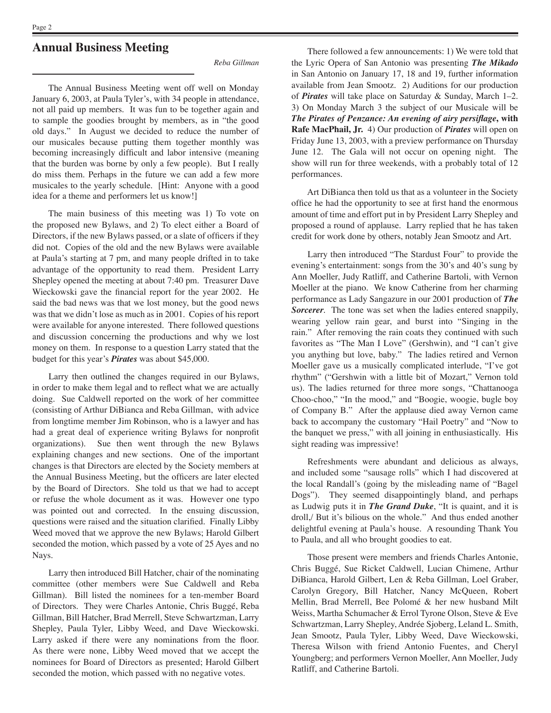# **Annual Business Meeting**

*Reba Gillman*

The Annual Business Meeting went off well on Monday January 6, 2003, at Paula Tyler's, with 34 people in attendance, not all paid up members. It was fun to be together again and to sample the goodies brought by members, as in "the good old days." In August we decided to reduce the number of our musicales because putting them together monthly was becoming increasingly difficult and labor intensive (meaning that the burden was borne by only a few people). But I really do miss them. Perhaps in the future we can add a few more musicales to the yearly schedule. [Hint: Anyone with a good idea for a theme and performers let us know!]

The main business of this meeting was 1) To vote on the proposed new Bylaws, and 2) To elect either a Board of Directors, if the new Bylaws passed, or a slate of officers if they did not. Copies of the old and the new Bylaws were available at Paula's starting at 7 pm, and many people drifted in to take advantage of the opportunity to read them. President Larry Shepley opened the meeting at about 7:40 pm. Treasurer Dave Wieckowski gave the financial report for the year 2002. He said the bad news was that we lost money, but the good news was that we didn't lose as much as in 2001. Copies of his report were available for anyone interested. There followed questions and discussion concerning the productions and why we lost money on them. In response to a question Larry stated that the budget for this year's *Pirates* was about \$45,000.

Larry then outlined the changes required in our Bylaws, in order to make them legal and to reflect what we are actually doing. Sue Caldwell reported on the work of her committee (consisting of Arthur DiBianca and Reba Gillman, with advice from longtime member Jim Robinson, who is a lawyer and has had a great deal of experience writing Bylaws for nonprofit organizations). Sue then went through the new Bylaws explaining changes and new sections. One of the important changes is that Directors are elected by the Society members at the Annual Business Meeting, but the officers are later elected by the Board of Directors. She told us that we had to accept or refuse the whole document as it was. However one typo was pointed out and corrected. In the ensuing discussion, questions were raised and the situation clarified. Finally Libby Weed moved that we approve the new Bylaws; Harold Gilbert seconded the motion, which passed by a vote of 25 Ayes and no Nays.

Larry then introduced Bill Hatcher, chair of the nominating committee (other members were Sue Caldwell and Reba Gillman). Bill listed the nominees for a ten-member Board of Directors. They were Charles Antonie, Chris Buggé, Reba Gillman, Bill Hatcher, Brad Merrell, Steve Schwartzman, Larry Shepley, Paula Tyler, Libby Weed, and Dave Wieckowski. Larry asked if there were any nominations from the floor. As there were none, Libby Weed moved that we accept the nominees for Board of Directors as presented; Harold Gilbert seconded the motion, which passed with no negative votes.

There followed a few announcements: 1) We were told that the Lyric Opera of San Antonio was presenting *The Mikado* in San Antonio on January 17, 18 and 19, further information available from Jean Smootz. 2) Auditions for our production of *Pirates* will take place on Saturday & Sunday, March 1–2. 3) On Monday March 3 the subject of our Musicale will be *The Pirates of Penzance: An evening of airy persiflage***, with Rafe MacPhail, Jr.** 4) Our production of *Pirates* will open on Friday June 13, 2003, with a preview performance on Thursday June 12. The Gala will not occur on opening night. The show will run for three weekends, with a probably total of 12 performances.

Art DiBianca then told us that as a volunteer in the Society office he had the opportunity to see at first hand the enormous amount of time and effort put in by President Larry Shepley and proposed a round of applause. Larry replied that he has taken credit for work done by others, notably Jean Smootz and Art.

Larry then introduced "The Stardust Four" to provide the evening's entertainment: songs from the 30's and 40's sung by Ann Moeller, Judy Ratliff, and Catherine Bartoli, with Vernon Moeller at the piano. We know Catherine from her charming performance as Lady Sangazure in our 2001 production of *The Sorcerer*. The tone was set when the ladies entered snappily, wearing yellow rain gear, and burst into "Singing in the rain." After removing the rain coats they continued with such favorites as "The Man I Love" (Gershwin), and "I can't give you anything but love, baby." The ladies retired and Vernon Moeller gave us a musically complicated interlude, "I've got rhythm" ("Gershwin with a little bit of Mozart," Vernon told us). The ladies returned for three more songs, "Chattanooga Choo-choo," "In the mood," and "Boogie, woogie, bugle boy of Company B." After the applause died away Vernon came back to accompany the customary "Hail Poetry" and "Now to the banquet we press," with all joining in enthusiastically. His sight reading was impressive!

Refreshments were abundant and delicious as always, and included some "sausage rolls" which I had discovered at the local Randall's (going by the misleading name of "Bagel Dogs"). They seemed disappointingly bland, and perhaps as Ludwig puts it in *The Grand Duke*, "It is quaint, and it is droll,/ But it's bilious on the whole." And thus ended another delightful evening at Paula's house. A resounding Thank You to Paula, and all who brought goodies to eat.

Those present were members and friends Charles Antonie, Chris Buggé, Sue Ricket Caldwell, Lucian Chimene, Arthur DiBianca, Harold Gilbert, Len & Reba Gillman, Loel Graber, Carolyn Gregory, Bill Hatcher, Nancy McQueen, Robert Mellin, Brad Merrell, Bee Polomé & her new husband Milt Weiss, Martha Schumacher & Errol Tyrone Olson, Steve & Eve Schwartzman, Larry Shepley, Andrée Sjoberg, Leland L. Smith, Jean Smootz, Paula Tyler, Libby Weed, Dave Wieckowski, Theresa Wilson with friend Antonio Fuentes, and Cheryl Youngberg; and performers Vernon Moeller, Ann Moeller, Judy Ratliff, and Catherine Bartoli.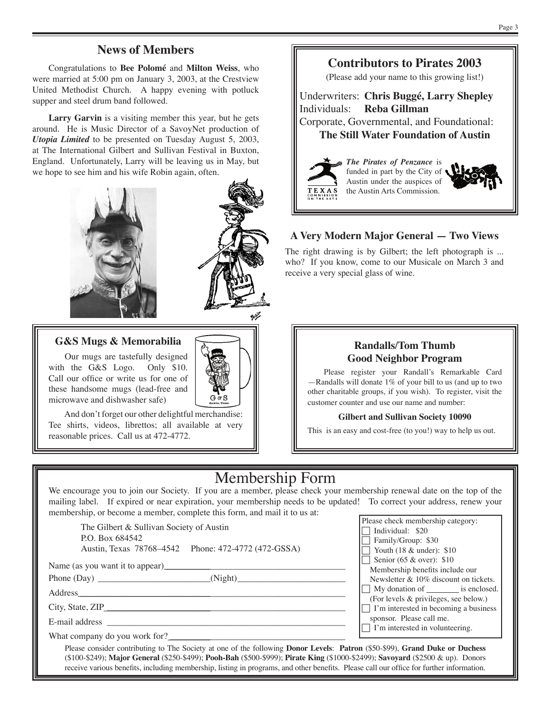# **News of Members**

Congratulations to **Bee Polomé** and **Milton Weiss**, who were married at 5:00 pm on January 3, 2003, at the Crestview United Methodist Church. A happy evening with potluck supper and steel drum band followed.

**Larry Garvin** is a visiting member this year, but he gets around. He is Music Director of a SavoyNet production of *Utopia Limited* to be presented on Tuesday August 5, 2003, at The International Gilbert and Sullivan Festival in Buxton, England. Unfortunately, Larry will be leaving us in May, but we hope to see him and his wife Robin again, often.





#### **G&S Mugs & Memorabilia**

Our mugs are tastefully designed with the G&S Logo. Only \$10. Call our office or write us for one of these handsome mugs (lead-free and microwave and dishwasher safe)

And don't forget our other delightful merchandise: Tee shirts, videos, librettos; all available at very reasonable prices. Call us at 472-4772.



Underwriters: **Chris Buggé, Larry Shepley** Individuals: **Reba Gillman** Corporate, Governmental, and Foundational: **The Still Water Foundation of Austin**



*The Pirates of Penzance* is funded in part by the City of Austin under the auspices of the Austin Arts Commission.



#### **A Very Modern Major General — Two Views**

The right drawing is by Gilbert; the left photograph is ... who? If you know, come to our Musicale on March 3 and receive a very special glass of wine.

#### **Randalls/Tom Thumb Good Neighbor Program**

Please register your Randall's Remarkable Card —Randalls will donate 1% of your bill to us (and up to two other charitable groups, if you wish). To register, visit the customer counter and use our name and number:

#### **Gilbert and Sullivan Society 10090**

This is an easy and cost-free (to you!) way to help us out.

# Membership Form

We encourage you to join our Society. If you are a member, please check your membership renewal date on the top of the mailing label. If expired or near expiration, your membership needs to be updated! To correct your address, renew your membership, or become a member, complete this form, and mail it to us at:

The Gilbert & Sullivan Society of Austin P.O. Box 684542 Austin, Texas 78768–4542 Phone: 472-4772 (472-GSSA)

Name (as you want it to appear)

Phone (Day) \_\_\_\_\_\_\_\_\_\_\_\_\_\_\_\_\_\_\_\_\_\_\_\_\_(Night)\_\_\_\_\_\_\_\_\_\_\_\_\_\_\_\_\_\_\_\_\_\_\_\_

Address \_\_\_\_\_\_\_\_\_\_\_\_\_\_\_\_\_\_\_\_\_\_\_\_\_\_\_\_\_\_\_\_\_\_\_\_\_\_\_\_\_\_\_\_\_\_\_\_\_\_\_\_\_\_\_\_\_\_\_

City, State, ZIP \_\_\_\_\_\_\_\_\_\_\_\_\_\_\_\_\_\_\_\_\_\_\_\_\_\_\_\_\_\_\_\_\_\_\_\_\_\_\_\_\_\_\_\_\_\_\_\_\_\_\_\_\_

E-mail address

What company do you work for? \_\_\_\_\_\_\_\_\_\_\_\_\_\_\_\_\_\_\_\_\_\_\_\_\_\_\_\_\_\_\_\_\_\_\_\_\_\_\_

Please check membership category:  $\Box$  Individual: \$20  $\Box$  Family/Group: \$30  $\Box$  Youth (18 & under): \$10 Senior (65 & over):  $$10$ Membership benefits include our Newsletter & 10% discount on tickets.  $\Box$  My donation of  $\Box$  is enclosed. (For levels & privileges, see below.)  $\Box$  I'm interested in becoming a business sponsor. Please call me.  $\Box$  I'm interested in volunteering.

Please consider contributing to The Society at one of the following **Donor Levels**: **Patron** (\$50-\$99), **Grand Duke or Duchess** (\$100-\$249); **Major General** (\$250-\$499); **Pooh-Bah** (\$500-\$999); **Pirate King** (\$1000-\$2499); **Savoyard** (\$2500 & up). Donors receive various benefits, including membership, listing in programs, and other benefits. Please call our office for further information.